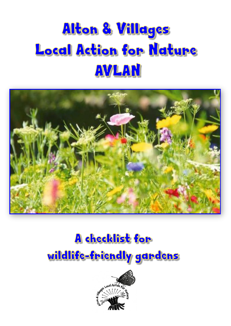# Alton & Villages **Local Action for Nature** AVLAN



# A checklist for



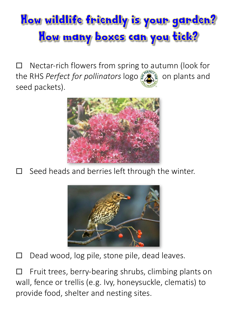## How wildlife friendly is your garden? How many boxes can you tick?

 $\Box$  Nectar-rich flowers from spring to autumn (look for the RHS *Perfect for pollinators* logo  $\mathbb{Z}$   $\mathbb{R}$  on plants and seed packets).



#### $\Box$  Seed heads and berries left through the winter.



 $\Box$  Dead wood, log pile, stone pile, dead leaves.

 $\Box$  Fruit trees, berry-bearing shrubs, climbing plants on wall, fence or trellis (e.g. Ivy, honeysuckle, clematis) to provide food, shelter and nesting sites.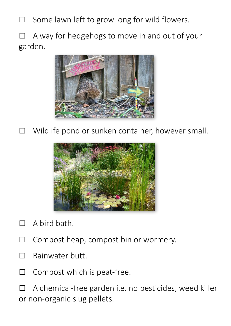$\Box$  Some lawn left to grow long for wild flowers.

� A way for hedgehogs to move in and out of your garden.



 $\Box$  Wildlife pond or sunken container, however small.



- $\Box$  A bird bath.
- $\Box$  Compost heap, compost bin or wormery.
- $\Box$  Rainwater butt.
- $\Box$  Compost which is peat-free.

 $\Box$  A chemical-free garden i.e. no pesticides, weed killer or non-organic slug pellets.